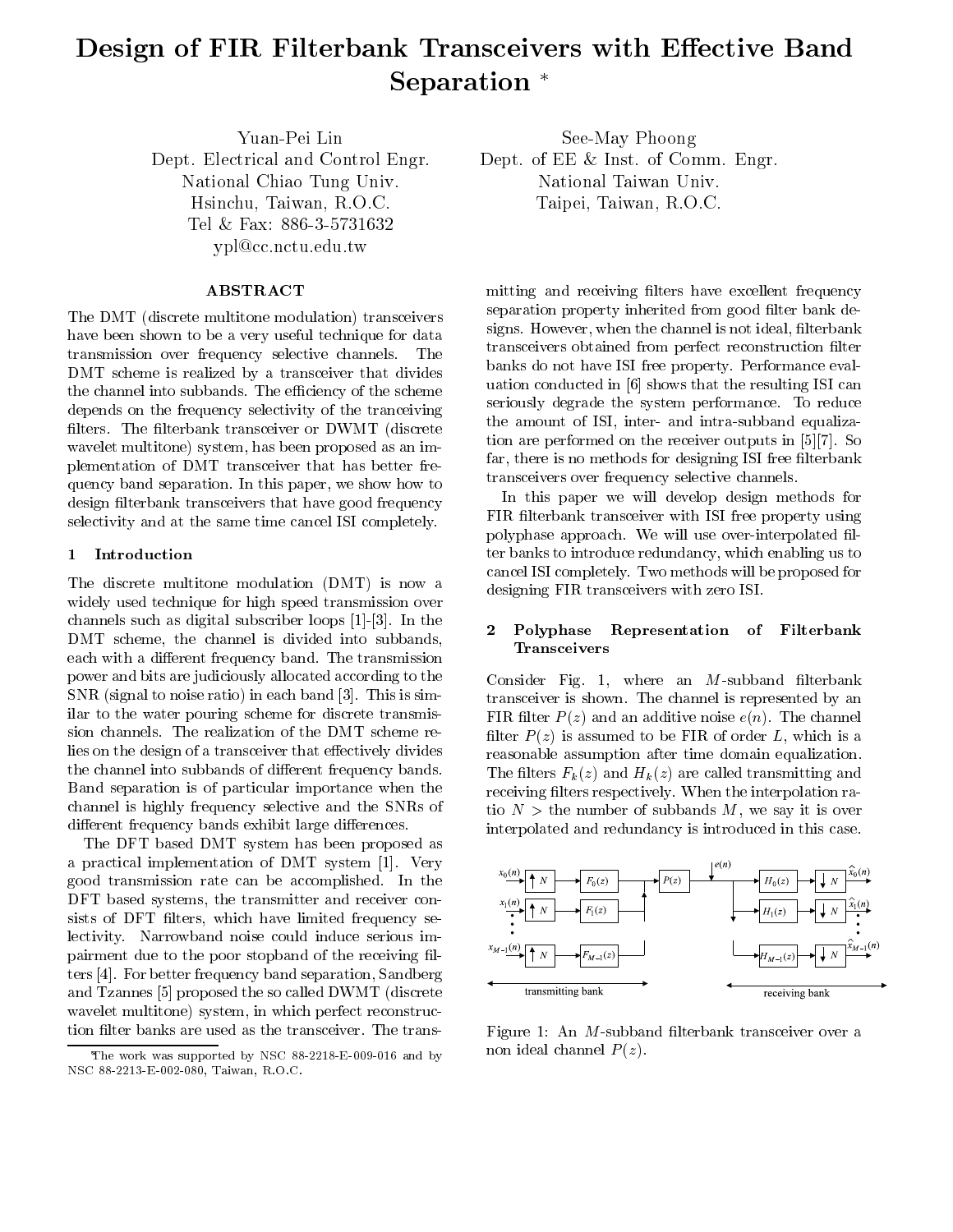# Design of FIR Filterbank Transceivers with Eective Band Separation<sup>\*</sup>

Yuan-Pei LinDept. Electrical and Control Engr. National Chiao Tung Univ. Hsinchu, Taiwan, R.O.C. Tel 886-386-38731632 ypl@cc.nctu.edu.tw

# ABSTRACT

The DMT (discrete multitone modulation) transceivers have been shown to be a very useful technique for data transmission over frequency selective channels. The DMT scheme is realized by a transceiver that divides the channel into subbands. The efficiency of the scheme depends on the frequency selectivity of the tranceiving filters. The filterbank transceiver or DWMT (discrete wavelet multitone) system, has been proposed as an implementation of DMT transceiver that has better frequency band separation. In this paper, we show how to design filterbank transceivers that have good frequency selectivity and at the same time cancel ISI completely.

#### 1 Introduction

The discrete multitone modulation (DMT) is now a widely used technique for high speed transmission over channels such as digital subscriber loops [1]-[3]. In the DMT scheme, the channel is divided into subbands, each with a different frequency band. The transmission power and bits are judiciously allocated according to the SNR (signal to noise ratio) in each band [3]. This is similar to the water pouring scheme for discrete transmission channels. The realization of the DMT scheme relies on the design of a transceiver that effectively divides the channel into subbands of different frequency bands. Band separation is of particular importance when the channel is highly frequency selective and the SNRs of different frequency bands exhibit large differences.

The DFT based DMT system has been proposed as a practical implementation of DMT system [1]. Very good transmission rate can be accomplished. In the DFT based systems, the transmitter and receiver consists of DFT filters, which have limited frequency selectivity. Narrowband noise could induce serious impairment due to the poor stopband of the receiving filters [4]. For better frequency band separation, Sandberg and Tzannes [5] proposed the so called DWMT (discrete wavelet multitone) system, in which perfect reconstruction filter banks are used as the transceiver. The trans-

See-May Phoong Dept. of EE & Inst. of Comm. Engr. National Taiwan Univ. Taipei, Taiwan, R.O.C.

mitting and receiving filters have excellent frequency separation property inherited from good filter bank designs. However, when the channel is not ideal, filterbank transceivers obtained from perfect reconstruction lter banks do not have ISI free property. Performance evaluation conducted in [6] shows that the resulting ISI can seriously degrade the system performance. To reduce the amount of ISI, inter- and intra-subband equalization are performed on the receiver outputs in [5][7]. So far, there is no methods for designing ISI free filterbank transceivers over frequency selective channels.

In this paper we will develop design methods for FIR filterbank transceiver with ISI free property using polyphase approach. We will use over-interpolated filter banks to introduce redundancy, which enabling us to cancel ISI completely. Two methods will be proposed for designing FIR transceivers with zero ISI.

#### Polyphase Representation of Filterbank Transceivers

Consider Fig. 1, where an  $M$ -subband filterbank transceiver is shown. The channel is represented by an FIR filter  $P(z)$  and an additive noise  $e(n)$ . The channel filter  $P(z)$  is assumed to be FIR of order L, which is a reasonable assumption after time domain equalization. The filters  $F_k(z)$  and  $H_k(z)$  are called transmitting and receiving filters respectively. When the interpolation ratio  $N >$  the number of subbands M, we say it is over interpolated and redundancy is introduced in this case.



Figure 1: An  $M$ -subband filterbank transceiver over a non ideal channel  $P(z)$ .

The work was supported by NSC 88-2218-E-009-016 and by NSC 88-2213-E-002-080, Taiwan, R.O.C.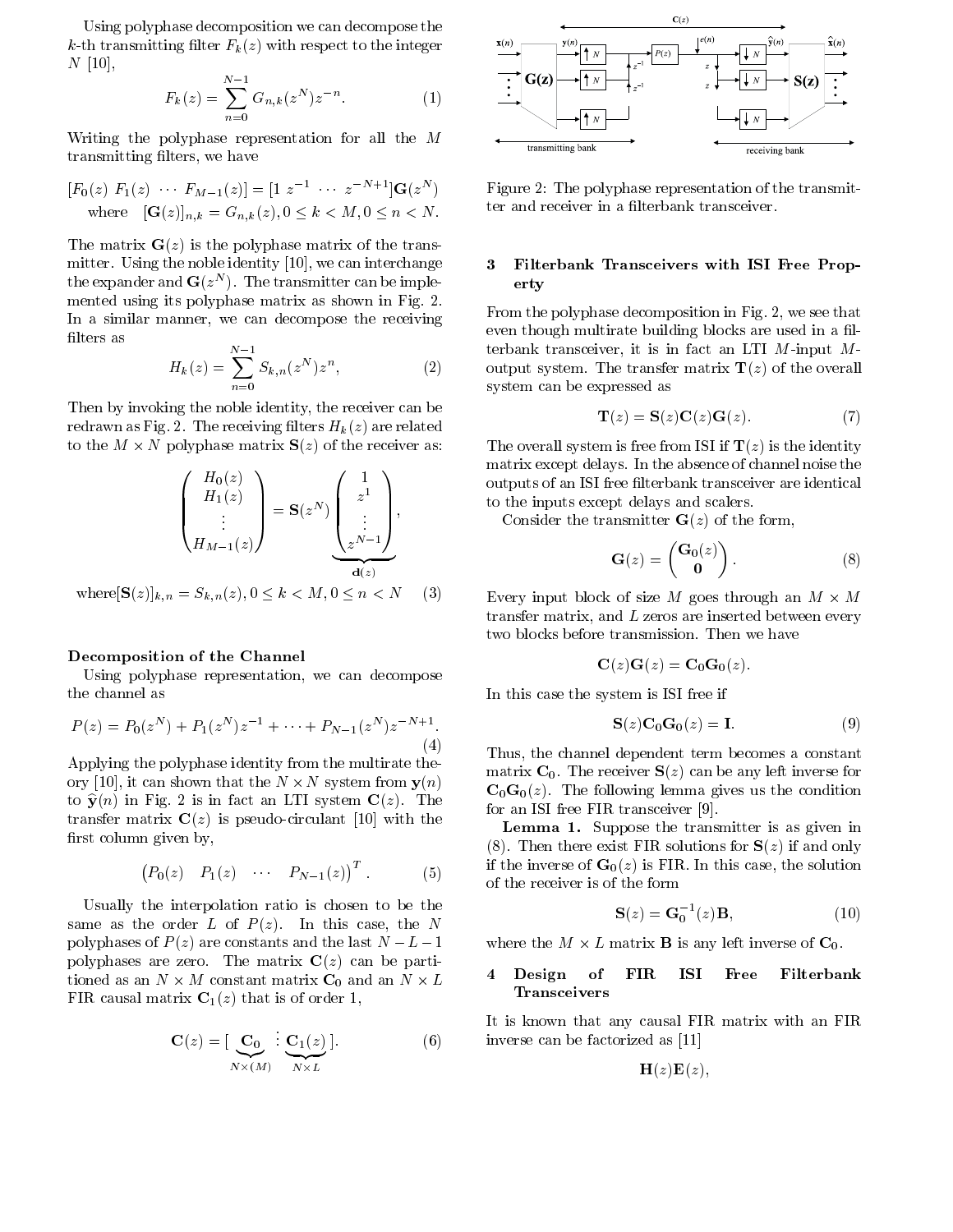Using polyphase decomposition we can decompose the k-th transmitting filter  $F_k(z)$  with respect to the integer  $N$  [10],

$$
F_k(z) = \sum_{n=0}^{N-1} G_{n,k}(z^N) z^{-n}.
$$
 (1)

Writing the polyphase representation for all the  $M$ transmitting filters, we have

$$
[F_0(z) \ F_1(z) \ \cdots \ F_{M-1}(z)] = [1 \ z^{-1} \ \cdots \ z^{-N+1}] \mathbf{G}(z^N)
$$
  
where  $[\mathbf{G}(z)]_{n,k} = G_{n,k}(z), 0 \le k < M, 0 \le n < N.$ 

The matrix  $\mathbf{G}(z)$  is the polyphase matrix of the transmitter. Using the noble identity [10], we can interchange 3 the expander and  $G(z_+)$ . The transmitter can be implemented using its polyphase matrix as shown in Fig. 2. In a similar manner, we can decompose the receiving filters as

$$
H_k(z) = \sum_{n=0}^{N-1} S_{k,n}(z^N) z^n,
$$
 (2)

Then by invoking the noble identity, the receiver can be redrawn as Fig. 2. The receiving filters  $H_k(z)$  are related to the <sup>M</sup> - <sup>N</sup> polyphase matrix S(z) of the receiver as:

$$
\begin{pmatrix}\nH_0(z) \\
H_1(z) \\
\vdots \\
H_{M-1}(z)\n\end{pmatrix} = \mathbf{S}(z^N) \underbrace{\begin{pmatrix} 1 \\ z^1 \\ \vdots \\ z^{N-1} \end{pmatrix}}_{\mathbf{d}(z)},
$$

where  $[S(z)]_{k,n} = S_{k,n}(z), 0 \le k < M, 0 \le n < N$  (3)

#### Decomposition of the Channel

Using polyphase representation, we can decompose the channel as

$$
P(z) = P_0(z^N) + P_1(z^N)z^{-1} + \dots + P_{N-1}(z^N)z^{-N+1}.
$$
\n(4)

Applying the polyphase identity from the multirate theory [10], it can shown that the <sup>N</sup> - <sup>N</sup> system from y(n) to  $\hat{\mathbf{y}}(n)$  in Fig. 2 is in fact an LTI system  $\mathbf{C}(z)$ . The transfer matrix  $C(z)$  is pseudo-circulant [10] with the first column given by,

$$
(P_0(z) P_1(z) \cdots P_{N-1}(z))^T.
$$
 (5)

Usually the interpolation ratio is chosen to be the same as the order L of  $P(z)$ . In this case, the N polyphases of  $P(z)$  are constants and the last  $N - L - 1$ polyphases are zero. The matrix  $C(z)$  can be parti- $\sigma$  -matrix  $\sigma$ FIR causal matrix  $C_1(z)$  that is of order 1,

$$
\mathbf{C}(z) = [\underbrace{\mathbf{C}_0}_{N \times (M)} : \underbrace{\mathbf{C}_1(z)}_{N \times L}].
$$
 (6)



 $z \sim z$  is  $\log(z^*)$  figure 2: The polyphase representation of the transmitter and receiver in a filterbank transceiver.

## 3 Filterbank Transceivers with ISI Free Property

From the polyphase decomposition in Fig. 2, we see that even though multirate building blocks are used in a filterbank transceiver, it is in fact an LTI  $M$ -input  $M$ output system. The transfer matrix  $\mathbf{T}(z)$  of the overall system can be expressed as

$$
\mathbf{T}(z) = \mathbf{S}(z)\mathbf{C}(z)\mathbf{G}(z). \tag{7}
$$

I to the inputs except delays and scalers. The overall system is free from ISI if  $\mathbf{T}(z)$  is the identity matrix except delays. In the absence of channel noise the outputs of an ISI free filterbank transceiver are identical

Consider the transmitter  $\mathbf{G}(z)$  of the form,

$$
\mathbf{G}(z) = \begin{pmatrix} \mathbf{G}_0(z) \\ \mathbf{0} \end{pmatrix} . \tag{8}
$$

Every input block of size <sup>M</sup> goes through an <sup>M</sup> - <sup>M</sup> transfer matrix, and  $L$  zeros are inserted between every two blocks before transmission. Then we have

$$
\mathbf{C}(z)\mathbf{G}(z)=\mathbf{C}_0\mathbf{G}_0(z).
$$

In this case the system is ISI free if

$$
\mathbf{S}(z)\mathbf{C}_0\mathbf{G}_0(z) = \mathbf{I}.\tag{9}
$$

Thus, the channel dependent term becomes a constant matrix  $C_0$ . The receiver  $S(z)$  can be any left inverse for  $\mathbf{C}_0\mathbf{G}_0(z)$ . The following lemma gives us the condition for an ISI free FIR transceiver [9].

Lemma 1. Suppose the transmitter is as given in (8). Then there exist FIR solutions for  $S(z)$  if and only if the inverse of  $\mathbf{G}_0(z)$  is FIR. In this case, the solution of the receiver is of the form

$$
\mathbf{S}(z) = \mathbf{G}_0^{-1}(z)\mathbf{B},\tag{10}
$$

where the M - L matrix  $\equiv$  10. We also the M - L matrix B is any left inverse of  $\Gamma$ 

#### 4 Design of FIR ISI Free Filterbank Transceivers

It is known that any causal FIR matrix with an FIR inverse can be factorized as [11]

$$
\mathbf{H}(z)\mathbf{E}(z),
$$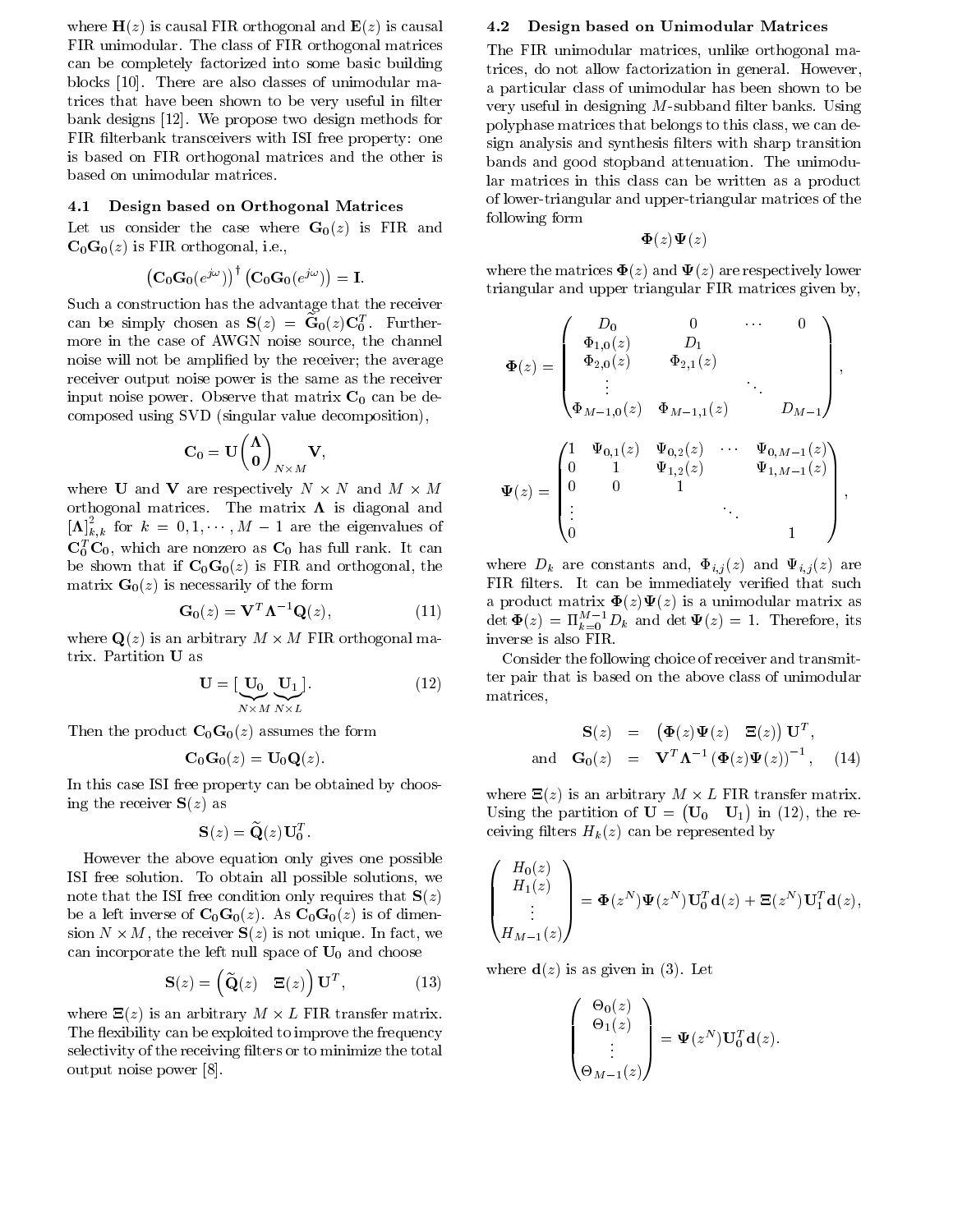where  $H(z)$  is causal FIR orthogonal and  $E(z)$  is causal FIR unimodular. The class of FIR orthogonal matrices can be completely factorized into some basic building blocks [10]. There are also classes of unimodular matrices that have been shown to be very useful in filter bank designs [12]. We propose two design methods for FIR filterbank transceivers with ISI free property: one is based on FIR orthogonal matrices and the other is based on unimodular matrices.

## 4.1 Design based on Orthogonal Matrices

Let us consider the case where  $G_0(z)$  is FIR and  $\mathbf{C}_0\mathbf{G}_0(z)$  is FIR orthogonal, i.e.,

$$
\left({\bf C}_{0}{\bf G}_{0}(e^{j\omega})\right)^{\intercal}\left({\bf C}_{0}{\bf G}_{0}(e^{j\omega})\right)={\bf I}.
$$

Such a construction has the advantage that the receiver can be simply chosen as  $S(z) = G_0(z)C_0^z$ . Furthermore in the case of AWGN noise source, the channel noise will not be amplied by the receiver; the average receiver output noise power is the same as the receiver input noise power. Observe that matrix  $C_0$  can be decomposed using SVD (singular value decomposition),

$$
\mathbf{C}_0 = \mathbf{U} \begin{pmatrix} \mathbf{\Lambda} \\ \mathbf{0} \end{pmatrix}_{N \times M} \mathbf{V},
$$

where  $\sim$  100  $\sim$  100  $\sim$  100  $\sim$  100  $\sim$  100  $\sim$  100  $\sim$  100  $\sim$  100  $\sim$  100  $\sim$  100  $\sim$  100  $\sim$  100  $\sim$  100  $\sim$  100  $\sim$  100  $\sim$  100  $\sim$  100  $\sim$  100  $\sim$  100  $\sim$  100  $\sim$  100  $\sim$  100  $\sim$  100  $\sim$  100 orthogonal matrices. The matrix  $\Lambda$  is diagonal and  $[\mathbf{\Lambda}]_{k,k}^{\scriptscriptstyle\mathsf{T}}$  for  $k~=~0,1,\cdots,M~-~1$  are the eigenvalues of  $C_0^-\,C_0$ , which are nonzero as  $C_0$  has full rank. It can be shown that if  $C_0G_0(z)$  is FIR and orthogonal, the matrix  $\mathbf{G}_0(z)$  is necessarily of the form

$$
\mathbf{G}_0(z) = \mathbf{V}^T \mathbf{\Lambda}^{-1} \mathbf{Q}(z), \qquad (11)
$$

where  $\alpha$  is an arbitrary mass is an arbitrary matrix  $\alpha$  -  $\alpha$ trix. Partition U as

$$
\mathbf{U} = [\underbrace{\mathbf{U}_0}_{N \times M} \underbrace{\mathbf{U}_1}_{N \times L}].
$$
 (12)

Then the product  $C_0G_0(z)$  assumes the form

$$
\mathbf{C}_0\mathbf{G}_0(z)=\mathbf{U}_0\mathbf{Q}(z).
$$

In this case ISI free property can be obtained by choosing the receiver  $S(z)$  as

$$
\mathbf{S}(z) = \widetilde{\mathbf{Q}}(z)\mathbf{U}_0^T.
$$

However the above equation only gives one possible ISI free solution. To obtain all possible solutions, we note that the ISI free condition only requires that  $S(z)$ be a left inverse of  $C_0G_0(z)$ . As  $C_0G_0(z)$  is of dimension N - M, the receiver  $N$  - M, the receiver S(z) is not unique. In fact, we have the receiver  $N$ can incorporate the left null space of  $U_0$  and choose

$$
\mathbf{S}(z) = \begin{pmatrix} \widetilde{\mathbf{Q}}(z) & \Xi(z) \end{pmatrix} \mathbf{U}^T, \tag{13}
$$

 $\cdots$  are  $\cdots$  , and the arbitrary matrix. Here is an arbitrary matrix. The flexibility can be exploited to improve the frequency selectivity of the receiving filters or to minimize the total output noise power [8].

#### 4.2 Design based on Unimodular Matrices

The FIR unimodular matrices, unlike orthogonal matrices, do not allow factorization in general. However, a particular class of unimodular has been shown to be very useful in designing  $M$ -subband filter banks. Using polyphase matrices that belongs to this class, we can design analysis and synthesis filters with sharp transition bands and good stopband attenuation. The unimodular matrices in this class can be written as a product of lower-triangular and upper-triangular matrices of the following form

$$
\boldsymbol{\Phi}(z)\boldsymbol{\Psi}(z)
$$

where the matrices  $\mathbf{\Phi}(z)$  and  $\mathbf{\Psi}(z)$  are respectively lower triangular and upper triangular FIR matrices given by,

$$
\Phi(z) = \begin{pmatrix}\nD_0 & 0 & \cdots & 0 \\
\Phi_{1,0}(z) & D_1 & & & \\
\Phi_{2,0}(z) & \Phi_{2,1}(z) & & \\
\vdots & & & & \\
\Phi_{M-1,0}(z) & \Phi_{M-1,1}(z) & D_{M-1}\n\end{pmatrix},
$$
\n
$$
\Psi(z) = \begin{pmatrix}\n1 & \Psi_{0,1}(z) & \Psi_{0,2}(z) & \cdots & \Psi_{0,M-1}(z) \\
0 & 1 & \Psi_{1,2}(z) & \Psi_{1,M-1}(z) \\
\vdots & & & & \\
0 & & & & 1\n\end{pmatrix},
$$

where  $D_k$  are constants and,  $\Phi_{i,j}(z)$  and  $\Psi_{i,j}(z)$  are FIR filters. It can be immediately verified that such a product matrix  $\mathbf{\Phi}(z)\mathbf{\Psi}(z)$  is a unimodular matrix as  $\det \mathbf{\Psi}(z) = \Pi_{k=0}^{-1} D_k$  and  $\det \mathbf{\Psi}(z) = 1$ . Therefore, its inverse is also FIR.

Consider the following choice of receiver and transmitter pair that is based on the above class of unimodular matrices,

$$
\mathbf{S}(z) = (\mathbf{\Phi}(z)\mathbf{\Psi}(z) \mathbf{\Xi}(z))\mathbf{U}^T,
$$
  
and 
$$
\mathbf{G}_0(z) = \mathbf{V}^T \mathbf{\Lambda}^{-1} (\mathbf{\Phi}(z)\mathbf{\Psi}(z))^{-1}, \quad (14)
$$

where  $\mathcal{N} = \mathcal{N}$  is an arbitrary M - L First matrix. The same matrix  $\mathcal{N} = \mathcal{N}$ Using the partition of  $U = (U_0 \ U_1)$  in (12), the receiving filters  $H_k(z)$  can be represented by

$$
\begin{pmatrix} H_0(z) \\ H_1(z) \\ \vdots \\ H_{M-1}(z) \end{pmatrix} = \mathbf{\Phi}(z^N) \mathbf{\Psi}(z^N) \mathbf{U}_0^T \mathbf{d}(z) + \Xi(z^N) \mathbf{U}_1^T \mathbf{d}(z),
$$

where  $\mathbf{d}(z)$  is as given in (3). Let

$$
\begin{pmatrix} \Theta_0(z) \\ \Theta_1(z) \\ \vdots \\ \Theta_{M-1}(z) \end{pmatrix} = \Psi(z^N) \mathbf{U}_0^T \mathbf{d}(z).
$$